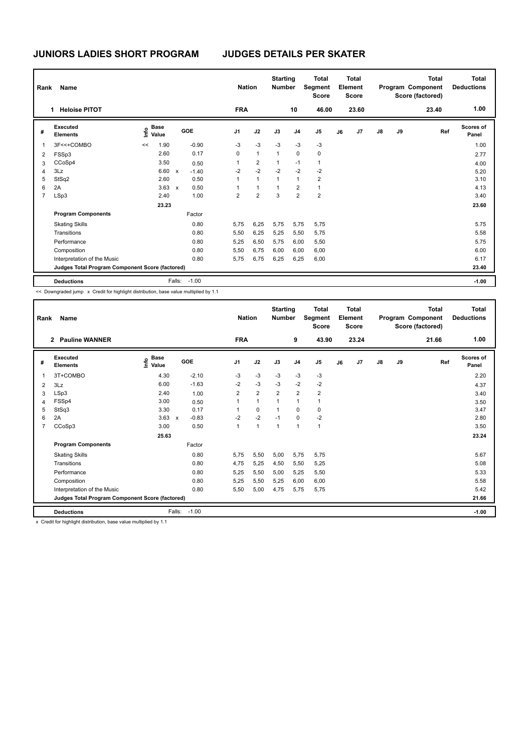| Rank           | Name                                            |                              |              |            | <b>Nation</b>  |                | <b>Starting</b><br><b>Number</b> |                | <b>Total</b><br>Segment<br><b>Score</b> |    | <b>Total</b><br>Element<br><b>Score</b> |               |    | <b>Total</b><br>Program Component<br>Score (factored) | Total<br><b>Deductions</b> |
|----------------|-------------------------------------------------|------------------------------|--------------|------------|----------------|----------------|----------------------------------|----------------|-----------------------------------------|----|-----------------------------------------|---------------|----|-------------------------------------------------------|----------------------------|
|                | <b>Heloise PITOT</b><br>1.                      |                              |              |            | <b>FRA</b>     |                |                                  | 10             | 46.00                                   |    | 23.60                                   |               |    | 23.40                                                 | 1.00                       |
| #              | Executed<br><b>Elements</b>                     | <b>Base</b><br>Info<br>Value |              | <b>GOE</b> | J <sub>1</sub> | J2             | J3                               | J <sub>4</sub> | J <sub>5</sub>                          | J6 | J <sub>7</sub>                          | $\mathsf{J}8$ | J9 | Ref                                                   | <b>Scores of</b><br>Panel  |
| 1              | 3F<<+COMBO                                      | 1.90<br><<                   |              | $-0.90$    | $-3$           | $-3$           | $-3$                             | $-3$           | $-3$                                    |    |                                         |               |    |                                                       | 1.00                       |
| $\overline{2}$ | FSSp3                                           | 2.60                         |              | 0.17       | 0              | $\mathbf{1}$   | $\mathbf{1}$                     | 0              | 0                                       |    |                                         |               |    |                                                       | 2.77                       |
| 3              | CCoSp4                                          | 3.50                         |              | 0.50       | 1              | $\overline{2}$ | $\mathbf{1}$                     | $-1$           | $\mathbf{1}$                            |    |                                         |               |    |                                                       | 4.00                       |
| 4              | 3Lz                                             | 6.60                         | $\mathsf{x}$ | $-1.40$    | $-2$           | $-2$           | $-2$                             | $-2$           | $-2$                                    |    |                                         |               |    |                                                       | 5.20                       |
| 5              | StSq2                                           | 2.60                         |              | 0.50       | 1              | $\mathbf{1}$   | $\mathbf{1}$                     | 1              | $\overline{2}$                          |    |                                         |               |    |                                                       | 3.10                       |
| 6              | 2A                                              | 3.63                         | $\mathsf{x}$ | 0.50       | 1              | 1              | 1                                | $\overline{2}$ | $\mathbf{1}$                            |    |                                         |               |    |                                                       | 4.13                       |
| $\overline{7}$ | LSp3                                            | 2.40                         |              | 1.00       | $\overline{2}$ | $\overline{2}$ | 3                                | $\overline{2}$ | $\overline{2}$                          |    |                                         |               |    |                                                       | 3.40                       |
|                |                                                 | 23.23                        |              |            |                |                |                                  |                |                                         |    |                                         |               |    |                                                       | 23.60                      |
|                | <b>Program Components</b>                       |                              |              | Factor     |                |                |                                  |                |                                         |    |                                         |               |    |                                                       |                            |
|                | <b>Skating Skills</b>                           |                              |              | 0.80       | 5,75           | 6,25           | 5,75                             | 5,75           | 5,75                                    |    |                                         |               |    |                                                       | 5.75                       |
|                | Transitions                                     |                              |              | 0.80       | 5,50           | 6,25           | 5,25                             | 5,50           | 5,75                                    |    |                                         |               |    |                                                       | 5.58                       |
|                | Performance                                     |                              |              | 0.80       | 5,25           | 6,50           | 5,75                             | 6,00           | 5,50                                    |    |                                         |               |    |                                                       | 5.75                       |
|                | Composition                                     |                              |              | 0.80       | 5,50           | 6,75           | 6,00                             | 6,00           | 6,00                                    |    |                                         |               |    |                                                       | 6.00                       |
|                | Interpretation of the Music                     |                              |              | 0.80       | 5,75           | 6,75           | 6,25                             | 6,25           | 6,00                                    |    |                                         |               |    |                                                       | 6.17                       |
|                | Judges Total Program Component Score (factored) |                              |              |            |                |                |                                  |                |                                         |    |                                         |               |    |                                                       | 23.40                      |
|                | <b>Deductions</b>                               |                              | Falls:       | $-1.00$    |                |                |                                  |                |                                         |    |                                         |               |    |                                                       | $-1.00$                    |

<< Downgraded jump x Credit for highlight distribution, base value multiplied by 1.1

| Rank           | <b>Name</b>                                     |                                  |              |            |              | <b>Nation</b>  | <b>Starting</b><br><b>Number</b> |                | <b>Total</b><br>Segment<br><b>Score</b> |    | <b>Total</b><br>Element<br><b>Score</b> |               |    | <b>Total</b><br>Program Component<br>Score (factored) | Total<br><b>Deductions</b> |
|----------------|-------------------------------------------------|----------------------------------|--------------|------------|--------------|----------------|----------------------------------|----------------|-----------------------------------------|----|-----------------------------------------|---------------|----|-------------------------------------------------------|----------------------------|
|                | <b>Pauline WANNER</b><br>$\mathbf{2}$           |                                  |              |            | <b>FRA</b>   |                |                                  | 9              | 43.90                                   |    | 23.24                                   |               |    | 21.66                                                 | 1.00                       |
| #              | Executed<br><b>Elements</b>                     | <b>Base</b><br>e Base<br>⊆ Value |              | <b>GOE</b> | J1           | J2             | J3                               | J <sub>4</sub> | J <sub>5</sub>                          | J6 | J7                                      | $\mathsf{J}8$ | J9 | Ref                                                   | <b>Scores of</b><br>Panel  |
| -1             | 3T+COMBO                                        | 4.30                             |              | $-2.10$    | $-3$         | $-3$           | $-3$                             | $-3$           | $-3$                                    |    |                                         |               |    |                                                       | 2.20                       |
| $\overline{2}$ | 3Lz                                             | 6.00                             |              | $-1.63$    | $-2$         | $-3$           | $-3$                             | $-2$           | $-2$                                    |    |                                         |               |    |                                                       | 4.37                       |
| 3              | LSp3                                            | 2.40                             |              | 1.00       | 2            | $\overline{2}$ | $\overline{\mathbf{c}}$          | $\overline{2}$ | $\overline{2}$                          |    |                                         |               |    |                                                       | 3.40                       |
| $\overline{4}$ | FSSp4                                           | 3.00                             |              | 0.50       | 1            | $\mathbf{1}$   | 1                                | 1              | 1                                       |    |                                         |               |    |                                                       | 3.50                       |
| 5              | StSq3                                           | 3.30                             |              | 0.17       | 1            | $\mathbf 0$    | 1                                | $\Omega$       | 0                                       |    |                                         |               |    |                                                       | 3.47                       |
| 6              | 2A                                              | 3.63                             | $\mathsf{x}$ | $-0.83$    | $-2$         | $-2$           | $-1$                             | 0              | $-2$                                    |    |                                         |               |    |                                                       | 2.80                       |
| $\overline{7}$ | CCoSp3                                          | 3.00                             |              | 0.50       | $\mathbf{1}$ | $\mathbf{1}$   | $\mathbf{1}$                     | 1              | 1                                       |    |                                         |               |    |                                                       | 3.50                       |
|                |                                                 | 25.63                            |              |            |              |                |                                  |                |                                         |    |                                         |               |    |                                                       | 23.24                      |
|                | <b>Program Components</b>                       |                                  |              | Factor     |              |                |                                  |                |                                         |    |                                         |               |    |                                                       |                            |
|                | <b>Skating Skills</b>                           |                                  |              | 0.80       | 5,75         | 5,50           | 5,00                             | 5,75           | 5,75                                    |    |                                         |               |    |                                                       | 5.67                       |
|                | Transitions                                     |                                  |              | 0.80       | 4,75         | 5,25           | 4,50                             | 5,50           | 5,25                                    |    |                                         |               |    |                                                       | 5.08                       |
|                | Performance                                     |                                  |              | 0.80       | 5,25         | 5,50           | 5,00                             | 5,25           | 5,50                                    |    |                                         |               |    |                                                       | 5.33                       |
|                | Composition                                     |                                  |              | 0.80       | 5,25         | 5,50           | 5,25                             | 6,00           | 6,00                                    |    |                                         |               |    |                                                       | 5.58                       |
|                | Interpretation of the Music                     |                                  |              | 0.80       | 5,50         | 5,00           | 4,75                             | 5,75           | 5,75                                    |    |                                         |               |    |                                                       | 5.42                       |
|                | Judges Total Program Component Score (factored) |                                  |              |            |              |                |                                  |                |                                         |    |                                         |               |    |                                                       | 21.66                      |
|                | <b>Deductions</b>                               |                                  | Falls:       | $-1.00$    |              |                |                                  |                |                                         |    |                                         |               |    |                                                       | $-1.00$                    |

x Credit for highlight distribution, base value multiplied by 1.1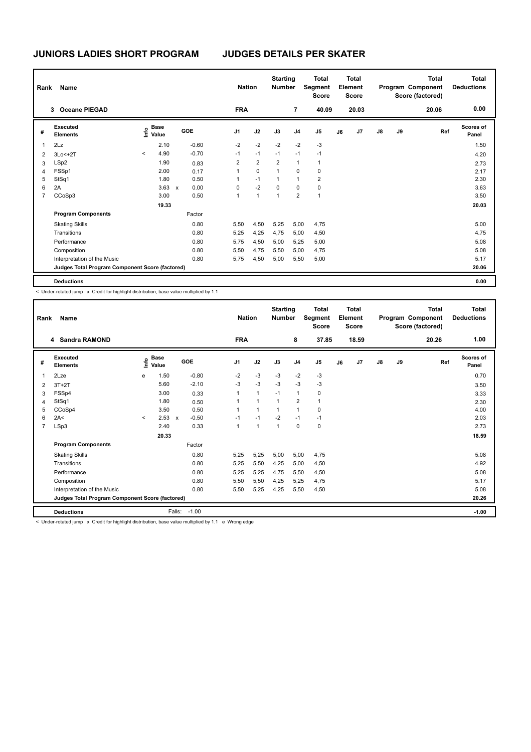| Rank | Name                                            |         |                           |                           |            |                | <b>Nation</b> |                | <b>Starting</b><br><b>Number</b> |                         | <b>Total</b><br>Segment<br><b>Score</b> |    | Total<br>Element<br><b>Score</b> |    |    | Total<br>Program Component<br>Score (factored) | <b>Total</b><br><b>Deductions</b> |
|------|-------------------------------------------------|---------|---------------------------|---------------------------|------------|----------------|---------------|----------------|----------------------------------|-------------------------|-----------------------------------------|----|----------------------------------|----|----|------------------------------------------------|-----------------------------------|
|      | <b>Oceane PIEGAD</b><br>3                       |         |                           |                           |            |                | <b>FRA</b>    |                |                                  | $\overline{7}$          | 40.09                                   |    | 20.03                            |    |    | 20.06                                          | 0.00                              |
| #    | <b>Executed</b><br><b>Elements</b>              |         | Base<br>e Base<br>⊆ Value |                           | <b>GOE</b> | J <sub>1</sub> |               | J2             | J3                               | J <sub>4</sub>          | J <sub>5</sub>                          | J6 | J7                               | J8 | J9 | Ref                                            | <b>Scores of</b><br>Panel         |
| 1    | 2Lz                                             |         | 2.10                      |                           | $-0.60$    | $-2$           |               | $-2$           | $-2$                             | $-2$                    | $-3$                                    |    |                                  |    |    |                                                | 1.50                              |
| 2    | 3Lo<+2T                                         | $\prec$ | 4.90                      |                           | $-0.70$    | $-1$           |               | $-1$           | $-1$                             | $-1$                    | $-1$                                    |    |                                  |    |    |                                                | 4.20                              |
| 3    | LSp2                                            |         | 1.90                      |                           | 0.83       | $\overline{2}$ |               | $\overline{2}$ | $\overline{2}$                   | $\overline{1}$          | $\mathbf{1}$                            |    |                                  |    |    |                                                | 2.73                              |
| 4    | FSSp1                                           |         | 2.00                      |                           | 0.17       | 1              |               | $\mathbf 0$    | $\mathbf{1}$                     | $\Omega$                | 0                                       |    |                                  |    |    |                                                | 2.17                              |
| 5    | StSq1                                           |         | 1.80                      |                           | 0.50       |                |               | $-1$           | $\mathbf{1}$                     | $\mathbf{1}$            | $\overline{2}$                          |    |                                  |    |    |                                                | 2.30                              |
| 6    | 2A                                              |         | 3.63                      | $\boldsymbol{\mathsf{x}}$ | 0.00       | 0              |               | $-2$           | $\mathbf 0$                      | $\mathbf 0$             | $\pmb{0}$                               |    |                                  |    |    |                                                | 3.63                              |
| 7    | CCoSp3                                          |         | 3.00                      |                           | 0.50       | 1              |               | $\mathbf{1}$   | $\mathbf{1}$                     | $\overline{\mathbf{c}}$ | $\mathbf{1}$                            |    |                                  |    |    |                                                | 3.50                              |
|      |                                                 |         | 19.33                     |                           |            |                |               |                |                                  |                         |                                         |    |                                  |    |    |                                                | 20.03                             |
|      | <b>Program Components</b>                       |         |                           |                           | Factor     |                |               |                |                                  |                         |                                         |    |                                  |    |    |                                                |                                   |
|      | <b>Skating Skills</b>                           |         |                           |                           | 0.80       | 5,50           |               | 4,50           | 5,25                             | 5,00                    | 4.75                                    |    |                                  |    |    |                                                | 5.00                              |
|      | Transitions                                     |         |                           |                           | 0.80       | 5,25           |               | 4,25           | 4,75                             | 5,00                    | 4,50                                    |    |                                  |    |    |                                                | 4.75                              |
|      | Performance                                     |         |                           |                           | 0.80       | 5,75           |               | 4,50           | 5,00                             | 5,25                    | 5,00                                    |    |                                  |    |    |                                                | 5.08                              |
|      | Composition                                     |         |                           |                           | 0.80       | 5,50           |               | 4,75           | 5,50                             | 5,00                    | 4,75                                    |    |                                  |    |    |                                                | 5.08                              |
|      | Interpretation of the Music                     |         |                           |                           | 0.80       | 5,75           |               | 4,50           | 5,00                             | 5,50                    | 5,00                                    |    |                                  |    |    |                                                | 5.17                              |
|      | Judges Total Program Component Score (factored) |         |                           |                           |            |                |               |                |                                  |                         |                                         |    |                                  |    |    |                                                | 20.06                             |
|      | <b>Deductions</b>                               |         |                           |                           |            |                |               |                |                                  |                         |                                         |    |                                  |    |    |                                                | 0.00                              |

< Under-rotated jump x Credit for highlight distribution, base value multiplied by 1.1

| Rank           | Name                                            |         |                      |                           |         |                | <b>Nation</b> | <b>Starting</b><br><b>Number</b> |                | <b>Total</b><br>Segment<br><b>Score</b> |    | <b>Total</b><br>Element<br><b>Score</b> |               |    | <b>Total</b><br>Program Component<br>Score (factored) | <b>Total</b><br><b>Deductions</b> |
|----------------|-------------------------------------------------|---------|----------------------|---------------------------|---------|----------------|---------------|----------------------------------|----------------|-----------------------------------------|----|-----------------------------------------|---------------|----|-------------------------------------------------------|-----------------------------------|
|                | 4 Sandra RAMOND                                 |         |                      |                           |         | <b>FRA</b>     |               |                                  | 8              | 37.85                                   |    | 18.59                                   |               |    | 20.26                                                 | 1.00                              |
| #              | Executed<br><b>Elements</b>                     | ١nf٥    | <b>Base</b><br>Value |                           | GOE     | J <sub>1</sub> | J2            | J3                               | J <sub>4</sub> | J <sub>5</sub>                          | J6 | J7                                      | $\mathsf{J}8$ | J9 | Ref                                                   | <b>Scores of</b><br>Panel         |
| $\overline{1}$ | 2Lze                                            | e       | 1.50                 |                           | $-0.80$ | $-2$           | $-3$          | $-3$                             | $-2$           | $-3$                                    |    |                                         |               |    |                                                       | 0.70                              |
| $\overline{2}$ | $3T+2T$                                         |         | 5.60                 |                           | $-2.10$ | $-3$           | $-3$          | $-3$                             | $-3$           | $-3$                                    |    |                                         |               |    |                                                       | 3.50                              |
| 3              | FSSp4                                           |         | 3.00                 |                           | 0.33    | $\mathbf{1}$   | $\mathbf{1}$  | $-1$                             | $\mathbf{1}$   | 0                                       |    |                                         |               |    |                                                       | 3.33                              |
| $\overline{4}$ | StSq1                                           |         | 1.80                 |                           | 0.50    | 1              | $\mathbf{1}$  | $\mathbf{1}$                     | $\overline{2}$ | $\overline{1}$                          |    |                                         |               |    |                                                       | 2.30                              |
| 5              | CCoSp4                                          |         | 3.50                 |                           | 0.50    | $\mathbf{1}$   | $\mathbf{1}$  | $\mathbf{1}$                     | $\mathbf{1}$   | 0                                       |    |                                         |               |    |                                                       | 4.00                              |
| 6              | 2A<                                             | $\prec$ | 2.53                 | $\boldsymbol{\mathsf{x}}$ | $-0.50$ | $-1$           | $-1$          | $-2$                             | $-1$           | $-1$                                    |    |                                         |               |    |                                                       | 2.03                              |
| $\overline{7}$ | LSp3                                            |         | 2.40                 |                           | 0.33    | $\mathbf{1}$   | $\mathbf{1}$  | $\mathbf{1}$                     | $\mathbf 0$    | $\pmb{0}$                               |    |                                         |               |    |                                                       | 2.73                              |
|                |                                                 |         | 20.33                |                           |         |                |               |                                  |                |                                         |    |                                         |               |    |                                                       | 18.59                             |
|                | <b>Program Components</b>                       |         |                      |                           | Factor  |                |               |                                  |                |                                         |    |                                         |               |    |                                                       |                                   |
|                | <b>Skating Skills</b>                           |         |                      |                           | 0.80    | 5,25           | 5,25          | 5,00                             | 5,00           | 4,75                                    |    |                                         |               |    |                                                       | 5.08                              |
|                | Transitions                                     |         |                      |                           | 0.80    | 5,25           | 5,50          | 4,25                             | 5,00           | 4,50                                    |    |                                         |               |    |                                                       | 4.92                              |
|                | Performance                                     |         |                      |                           | 0.80    | 5,25           | 5,25          | 4,75                             | 5,50           | 4,50                                    |    |                                         |               |    |                                                       | 5.08                              |
|                | Composition                                     |         |                      |                           | 0.80    | 5,50           | 5,50          | 4,25                             | 5,25           | 4,75                                    |    |                                         |               |    |                                                       | 5.17                              |
|                | Interpretation of the Music                     |         |                      |                           | 0.80    | 5,50           | 5,25          | 4,25                             | 5,50           | 4,50                                    |    |                                         |               |    |                                                       | 5.08                              |
|                | Judges Total Program Component Score (factored) |         |                      |                           |         |                |               |                                  |                |                                         |    |                                         |               |    |                                                       | 20.26                             |
|                | <b>Deductions</b>                               |         |                      | Falls:                    | $-1.00$ |                |               |                                  |                |                                         |    |                                         |               |    |                                                       | $-1.00$                           |

< Under-rotated jump x Credit for highlight distribution, base value multiplied by 1.1 e Wrong edge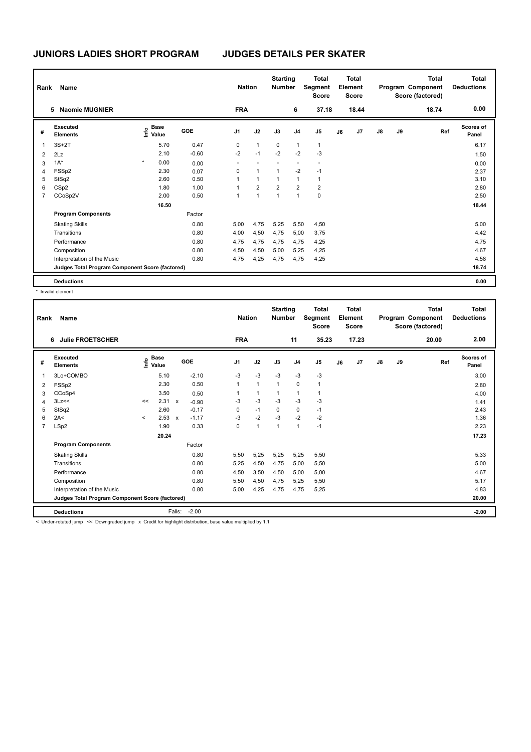| Rank           | Name                                            |         |                                  |            | <b>Nation</b> |                | <b>Starting</b><br>Number |                | <b>Total</b><br>Segment<br><b>Score</b> |    | Total<br>Element<br><b>Score</b> |    |    | <b>Total</b><br>Program Component<br>Score (factored) | <b>Total</b><br><b>Deductions</b> |
|----------------|-------------------------------------------------|---------|----------------------------------|------------|---------------|----------------|---------------------------|----------------|-----------------------------------------|----|----------------------------------|----|----|-------------------------------------------------------|-----------------------------------|
|                | <b>Naomie MUGNIER</b><br>5                      |         |                                  |            | <b>FRA</b>    |                |                           | 6              | 37.18                                   |    | 18.44                            |    |    | 18.74                                                 | 0.00                              |
| #              | Executed<br><b>Elements</b>                     |         | <b>Base</b><br>o Base<br>⊆ Value | <b>GOE</b> | J1            | J2             | J3                        | J <sub>4</sub> | J <sub>5</sub>                          | J6 | J7                               | J8 | J9 | Ref                                                   | <b>Scores of</b><br>Panel         |
| 1              | $3S+2T$                                         |         | 5.70                             | 0.47       | 0             | $\mathbf{1}$   | 0                         | 1              | $\mathbf{1}$                            |    |                                  |    |    |                                                       | 6.17                              |
| $\overline{2}$ | 2Lz                                             |         | 2.10                             | $-0.60$    | $-2$          | $-1$           | $-2$                      | $-2$           | $-3$                                    |    |                                  |    |    |                                                       | 1.50                              |
| 3              | $1A^*$                                          | $\star$ | 0.00                             | 0.00       |               |                |                           |                |                                         |    |                                  |    |    |                                                       | 0.00                              |
| 4              | FSSp2                                           |         | 2.30                             | 0.07       | 0             | $\mathbf{1}$   | 1                         | $-2$           | $-1$                                    |    |                                  |    |    |                                                       | 2.37                              |
| 5              | StSq2                                           |         | 2.60                             | 0.50       | 1             | $\mathbf{1}$   | $\mathbf{1}$              | $\mathbf{1}$   | $\mathbf{1}$                            |    |                                  |    |    |                                                       | 3.10                              |
| 6              | CSp2                                            |         | 1.80                             | 1.00       | 1             | $\overline{2}$ | $\overline{2}$            | $\overline{2}$ | $\overline{2}$                          |    |                                  |    |    |                                                       | 2.80                              |
| $\overline{7}$ | CCoSp2V                                         |         | 2.00                             | 0.50       | 1             | $\mathbf{1}$   | $\mathbf{1}$              | 1              | $\pmb{0}$                               |    |                                  |    |    |                                                       | 2.50                              |
|                |                                                 |         | 16.50                            |            |               |                |                           |                |                                         |    |                                  |    |    |                                                       | 18.44                             |
|                | <b>Program Components</b>                       |         |                                  | Factor     |               |                |                           |                |                                         |    |                                  |    |    |                                                       |                                   |
|                | <b>Skating Skills</b>                           |         |                                  | 0.80       | 5,00          | 4,75           | 5,25                      | 5,50           | 4,50                                    |    |                                  |    |    |                                                       | 5.00                              |
|                | Transitions                                     |         |                                  | 0.80       | 4,00          | 4,50           | 4,75                      | 5,00           | 3,75                                    |    |                                  |    |    |                                                       | 4.42                              |
|                | Performance                                     |         |                                  | 0.80       | 4,75          | 4,75           | 4,75                      | 4,75           | 4,25                                    |    |                                  |    |    |                                                       | 4.75                              |
|                | Composition                                     |         |                                  | 0.80       | 4,50          | 4,50           | 5,00                      | 5,25           | 4,25                                    |    |                                  |    |    |                                                       | 4.67                              |
|                | Interpretation of the Music                     |         |                                  | 0.80       | 4,75          | 4,25           | 4,75                      | 4,75           | 4,25                                    |    |                                  |    |    |                                                       | 4.58                              |
|                | Judges Total Program Component Score (factored) |         |                                  |            |               |                |                           |                |                                         |    |                                  |    |    |                                                       | 18.74                             |
|                | <b>Deductions</b>                               |         |                                  |            |               |                |                           |                |                                         |    |                                  |    |    |                                                       | 0.00                              |

\* Invalid element

| Rank           | Name                                            |              |                            |                           |                                                                                                                 |                | <b>Nation</b> | <b>Starting</b><br><b>Number</b> |                | <b>Total</b><br>Segment<br><b>Score</b> |    | <b>Total</b><br>Element<br><b>Score</b> |               |    | <b>Total</b><br>Program Component<br>Score (factored) | Total<br><b>Deductions</b> |
|----------------|-------------------------------------------------|--------------|----------------------------|---------------------------|-----------------------------------------------------------------------------------------------------------------|----------------|---------------|----------------------------------|----------------|-----------------------------------------|----|-----------------------------------------|---------------|----|-------------------------------------------------------|----------------------------|
|                | <b>Julie FROETSCHER</b><br>6                    |              |                            |                           |                                                                                                                 | <b>FRA</b>     |               |                                  | 11             | 35.23                                   |    | 17.23                                   |               |    | 20.00                                                 | 2.00                       |
| #              | <b>Executed</b><br><b>Elements</b>              |              | e Base<br>E Value<br>Value |                           | GOE                                                                                                             | J <sub>1</sub> | J2            | J3                               | J <sub>4</sub> | J <sub>5</sub>                          | J6 | J7                                      | $\mathsf{J}8$ | J9 | Ref                                                   | Scores of<br>Panel         |
| 1              | 3Lo+COMBO                                       |              | 5.10                       |                           | $-2.10$                                                                                                         | $-3$           | $-3$          | $-3$                             | $-3$           | $-3$                                    |    |                                         |               |    |                                                       | 3.00                       |
| 2              | FSSp2                                           |              | 2.30                       |                           | 0.50                                                                                                            | $\mathbf{1}$   | $\mathbf{1}$  | $\mathbf{1}$                     | $\mathbf 0$    | $\mathbf{1}$                            |    |                                         |               |    |                                                       | 2.80                       |
| 3              | CCoSp4                                          |              | 3.50                       |                           | 0.50                                                                                                            |                | $\mathbf{1}$  | $\mathbf{1}$                     | 1              | 1                                       |    |                                         |               |    |                                                       | 4.00                       |
| 4              | 3Lz<<                                           | <<           | 2.31                       | $\mathsf{x}$              | $-0.90$                                                                                                         | -3             | $-3$          | $-3$                             | $-3$           | $-3$                                    |    |                                         |               |    |                                                       | 1.41                       |
| 5              | StSq2                                           |              | 2.60                       |                           | $-0.17$                                                                                                         | 0              | $-1$          | $\Omega$                         | $\mathbf 0$    | $-1$                                    |    |                                         |               |    |                                                       | 2.43                       |
| 6              | 2A<                                             | $\checkmark$ | 2.53                       | $\boldsymbol{\mathsf{x}}$ | $-1.17$                                                                                                         | $-3$           | $-2$          | $-3$                             | $-2$           | $-2$                                    |    |                                         |               |    |                                                       | 1.36                       |
| $\overline{7}$ | LSp2                                            |              | 1.90                       |                           | 0.33                                                                                                            | 0              | $\mathbf{1}$  | $\overline{1}$                   | $\mathbf{1}$   | $-1$                                    |    |                                         |               |    |                                                       | 2.23                       |
|                |                                                 |              | 20.24                      |                           |                                                                                                                 |                |               |                                  |                |                                         |    |                                         |               |    |                                                       | 17.23                      |
|                | <b>Program Components</b>                       |              |                            |                           | Factor                                                                                                          |                |               |                                  |                |                                         |    |                                         |               |    |                                                       |                            |
|                | <b>Skating Skills</b>                           |              |                            |                           | 0.80                                                                                                            | 5,50           | 5,25          | 5,25                             | 5,25           | 5,50                                    |    |                                         |               |    |                                                       | 5.33                       |
|                | Transitions                                     |              |                            |                           | 0.80                                                                                                            | 5,25           | 4,50          | 4,75                             | 5,00           | 5,50                                    |    |                                         |               |    |                                                       | 5.00                       |
|                | Performance                                     |              |                            |                           | 0.80                                                                                                            | 4,50           | 3,50          | 4,50                             | 5,00           | 5,00                                    |    |                                         |               |    |                                                       | 4.67                       |
|                | Composition                                     |              |                            |                           | 0.80                                                                                                            | 5,50           | 4,50          | 4,75                             | 5,25           | 5,50                                    |    |                                         |               |    |                                                       | 5.17                       |
|                | Interpretation of the Music                     |              |                            |                           | 0.80                                                                                                            | 5,00           | 4,25          | 4,75                             | 4,75           | 5,25                                    |    |                                         |               |    |                                                       | 4.83                       |
|                | Judges Total Program Component Score (factored) |              |                            |                           |                                                                                                                 |                |               |                                  |                |                                         |    |                                         |               |    |                                                       | 20.00                      |
|                | <b>Deductions</b>                               |              |                            | Falls:                    | $-2.00$                                                                                                         |                |               |                                  |                |                                         |    |                                         |               |    |                                                       | $-2.00$                    |
|                |                                                 |              |                            |                           | the contract of the contract of the contract of the contract of the contract of the contract of the contract of |                |               |                                  |                |                                         |    |                                         |               |    |                                                       |                            |

< Under-rotated jump << Downgraded jump x Credit for highlight distribution, base value multiplied by 1.1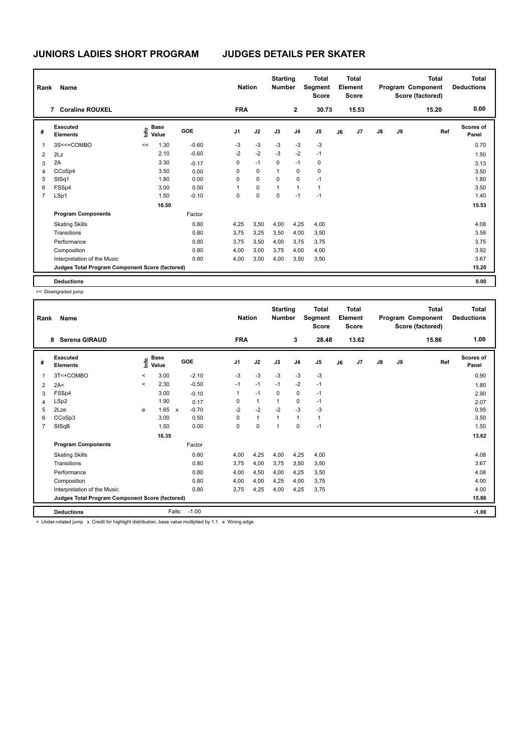| Rank           | Name                                            |      |                      |            | <b>Nation</b> |             | <b>Starting</b><br><b>Number</b> |              | <b>Total</b><br>Segment<br><b>Score</b> |    | Total<br>Element<br><b>Score</b> |    |    | Total<br>Program Component<br>Score (factored) | <b>Total</b><br><b>Deductions</b> |
|----------------|-------------------------------------------------|------|----------------------|------------|---------------|-------------|----------------------------------|--------------|-----------------------------------------|----|----------------------------------|----|----|------------------------------------------------|-----------------------------------|
|                | <b>Coraline ROUXEL</b><br>7                     |      |                      |            | <b>FRA</b>    |             |                                  | $\mathbf{2}$ | 30.73                                   |    | 15.53                            |    |    | 15.20                                          | 0.00                              |
| #              | Executed<br><b>Elements</b>                     | Info | <b>Base</b><br>Value | <b>GOE</b> | J1            | J2          | J3                               | J4           | J <sub>5</sub>                          | J6 | J7                               | J8 | J9 | Ref                                            | <b>Scores of</b><br>Panel         |
| 1              | 3S<<+COMBO                                      | <<   | 1.30                 | $-0.60$    | $-3$          | $-3$        | $-3$                             | $-3$         | $-3$                                    |    |                                  |    |    |                                                | 0.70                              |
| $\overline{2}$ | 2Lz                                             |      | 2.10                 | $-0.60$    | $-2$          | $-2$        | $-3$                             | $-2$         | $-1$                                    |    |                                  |    |    |                                                | 1.50                              |
| 3              | 2A                                              |      | 3.30                 | $-0.17$    | 0             | $-1$        | 0                                | $-1$         | 0                                       |    |                                  |    |    |                                                | 3.13                              |
| 4              | CCoSp4                                          |      | 3.50                 | 0.00       | 0             | $\mathbf 0$ | 1                                | 0            | $\mathbf 0$                             |    |                                  |    |    |                                                | 3.50                              |
| 5              | StSq1                                           |      | 1.80                 | 0.00       | 0             | $\mathbf 0$ | 0                                | 0            | $-1$                                    |    |                                  |    |    |                                                | 1.80                              |
| 6              | FSSp4                                           |      | 3.00                 | 0.50       | 1             | 0           | $\mathbf{1}$                     | 1            | 1                                       |    |                                  |    |    |                                                | 3.50                              |
| $\overline{7}$ | LSp1                                            |      | 1.50                 | $-0.10$    | 0             | 0           | 0                                | $-1$         | $-1$                                    |    |                                  |    |    |                                                | 1.40                              |
|                |                                                 |      | 16.50                |            |               |             |                                  |              |                                         |    |                                  |    |    |                                                | 15.53                             |
|                | <b>Program Components</b>                       |      |                      | Factor     |               |             |                                  |              |                                         |    |                                  |    |    |                                                |                                   |
|                | <b>Skating Skills</b>                           |      |                      | 0.80       | 4,25          | 3,50        | 4,00                             | 4,25         | 4.00                                    |    |                                  |    |    |                                                | 4.08                              |
|                | Transitions                                     |      |                      | 0.80       | 3,75          | 3,25        | 3,50                             | 4,00         | 3,50                                    |    |                                  |    |    |                                                | 3.58                              |
|                | Performance                                     |      |                      | 0.80       | 3,75          | 3,50        | 4,00                             | 3,75         | 3,75                                    |    |                                  |    |    |                                                | 3.75                              |
|                | Composition                                     |      |                      | 0.80       | 4,00          | 3,00        | 3,75                             | 4,00         | 4,00                                    |    |                                  |    |    |                                                | 3.92                              |
|                | Interpretation of the Music                     |      |                      | 0.80       | 4,00          | 3,00        | 4,00                             | 3,50         | 3,50                                    |    |                                  |    |    |                                                | 3.67                              |
|                | Judges Total Program Component Score (factored) |      |                      |            |               |             |                                  |              |                                         |    |                                  |    |    |                                                | 15.20                             |
|                | <b>Deductions</b>                               |      |                      |            |               |             |                                  |              |                                         |    |                                  |    |    |                                                | 0.00                              |

<< Downgraded jump

| Rank           | Name<br><b>Serena GIRAUD</b><br>8               |         |                      |              |         |                | <b>Nation</b> | <b>Starting</b><br><b>Number</b> |                | <b>Total</b><br>Segment<br><b>Score</b> |    | <b>Total</b><br>Element<br><b>Score</b> |               |    | <b>Total</b><br>Program Component<br>Score (factored) | <b>Total</b><br><b>Deductions</b> |
|----------------|-------------------------------------------------|---------|----------------------|--------------|---------|----------------|---------------|----------------------------------|----------------|-----------------------------------------|----|-----------------------------------------|---------------|----|-------------------------------------------------------|-----------------------------------|
|                |                                                 |         |                      |              |         | <b>FRA</b>     |               |                                  | 3              | 28.48                                   |    | 13.62                                   |               |    | 15.86                                                 | 1.00                              |
| #              | Executed<br><b>Elements</b>                     | ١nf٥    | <b>Base</b><br>Value |              | GOE     | J <sub>1</sub> | J2            | J3                               | J <sub>4</sub> | J <sub>5</sub>                          | J6 | J7                                      | $\mathsf{J}8$ | J9 | Ref                                                   | <b>Scores of</b><br>Panel         |
| 1              | 3T<+COMBO                                       | $\prec$ | 3.00                 |              | $-2.10$ | $-3$           | $-3$          | $-3$                             | $-3$           | $-3$                                    |    |                                         |               |    |                                                       | 0.90                              |
| 2              | 2A<                                             | $\prec$ | 2.30                 |              | $-0.50$ | $-1$           | $-1$          | $-1$                             | $-2$           | $-1$                                    |    |                                         |               |    |                                                       | 1.80                              |
| 3              | FSSp4                                           |         | 3.00                 |              | $-0.10$ | $\mathbf{1}$   | $-1$          | 0                                | 0              | $-1$                                    |    |                                         |               |    |                                                       | 2.90                              |
| 4              | LSp2                                            |         | 1.90                 |              | 0.17    | 0              | $\mathbf{1}$  |                                  | 0              | $-1$                                    |    |                                         |               |    |                                                       | 2.07                              |
| 5              | 2Lze                                            | e       | 1.65                 | $\mathbf{x}$ | $-0.70$ | $-2$           | $-2$          | $-2$                             | $-3$           | $-3$                                    |    |                                         |               |    |                                                       | 0.95                              |
| 6              | CCoSp3                                          |         | 3.00                 |              | 0.50    | 0              | $\mathbf{1}$  | 1                                | $\overline{1}$ | $\mathbf{1}$                            |    |                                         |               |    |                                                       | 3.50                              |
| $\overline{7}$ | StSqB                                           |         | 1.50                 |              | 0.00    | $\mathbf 0$    | $\mathbf 0$   | $\overline{1}$                   | $\mathbf 0$    | $-1$                                    |    |                                         |               |    |                                                       | 1.50                              |
|                |                                                 |         | 16.35                |              |         |                |               |                                  |                |                                         |    |                                         |               |    |                                                       | 13.62                             |
|                | <b>Program Components</b>                       |         |                      |              | Factor  |                |               |                                  |                |                                         |    |                                         |               |    |                                                       |                                   |
|                | <b>Skating Skills</b>                           |         |                      |              | 0.80    | 4,00           | 4,25          | 4,00                             | 4,25           | 4,00                                    |    |                                         |               |    |                                                       | 4.08                              |
|                | Transitions                                     |         |                      |              | 0.80    | 3,75           | 4,00          | 3,75                             | 3,50           | 3,50                                    |    |                                         |               |    |                                                       | 3.67                              |
|                | Performance                                     |         |                      |              | 0.80    | 4,00           | 4,50          | 4,00                             | 4,25           | 3,50                                    |    |                                         |               |    |                                                       | 4.08                              |
|                | Composition                                     |         |                      |              | 0.80    | 4,00           | 4,00          | 4,25                             | 4,00           | 3,75                                    |    |                                         |               |    |                                                       | 4.00                              |
|                | Interpretation of the Music                     |         |                      |              | 0.80    | 3.75           | 4,25          | 4,00                             | 4,25           | 3,75                                    |    |                                         |               |    |                                                       | 4.00                              |
|                | Judges Total Program Component Score (factored) |         |                      |              |         |                |               |                                  |                |                                         |    |                                         |               |    |                                                       | 15.86                             |
|                | <b>Deductions</b>                               |         |                      | Falls:       | $-1.00$ |                |               |                                  |                |                                         |    |                                         |               |    |                                                       | $-1.00$                           |

< Under-rotated jump x Credit for highlight distribution, base value multiplied by 1.1 e Wrong edge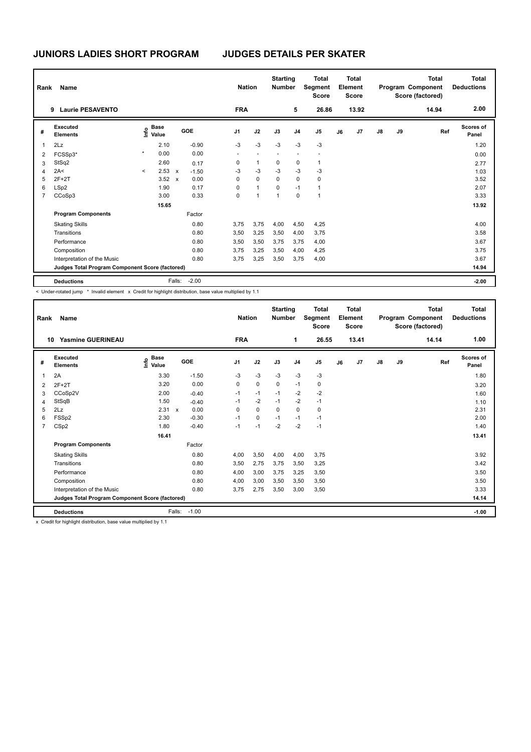| Rank           | <b>Name</b>                                     |         |                                  |                           |         |                | <b>Nation</b> |                          | <b>Starting</b><br><b>Number</b> |                | <b>Total</b><br>Segment<br><b>Score</b> |    | Total<br>Element<br><b>Score</b> |               |    | <b>Total</b><br>Program Component<br>Score (factored) | Total<br><b>Deductions</b> |
|----------------|-------------------------------------------------|---------|----------------------------------|---------------------------|---------|----------------|---------------|--------------------------|----------------------------------|----------------|-----------------------------------------|----|----------------------------------|---------------|----|-------------------------------------------------------|----------------------------|
|                | <b>Laurie PESAVENTO</b><br>9                    |         |                                  |                           |         | <b>FRA</b>     |               |                          |                                  | 5              | 26.86                                   |    | 13.92                            |               |    | 14.94                                                 | 2.00                       |
| #              | Executed<br><b>Elements</b>                     |         | <b>Base</b><br>e Base<br>⊆ Value |                           | GOE     | J <sub>1</sub> |               | J2                       | J3                               | J <sub>4</sub> | J <sub>5</sub>                          | J6 | J7                               | $\mathsf{J}8$ | J9 | Ref                                                   | <b>Scores of</b><br>Panel  |
| 1              | 2Lz                                             |         | 2.10                             |                           | $-0.90$ | $-3$           |               | $-3$                     | $-3$                             | $-3$           | $-3$                                    |    |                                  |               |    |                                                       | 1.20                       |
| 2              | FCSSp3*                                         | $\star$ | 0.00                             |                           | 0.00    | ٠              |               | $\overline{\phantom{a}}$ |                                  | ٠              | ٠                                       |    |                                  |               |    |                                                       | 0.00                       |
| 3              | StSq2                                           |         | 2.60                             |                           | 0.17    | 0              |               | $\mathbf{1}$             | 0                                | 0              | $\mathbf{1}$                            |    |                                  |               |    |                                                       | 2.77                       |
| $\overline{4}$ | 2A<                                             | $\prec$ | 2.53                             | $\mathsf{x}$              | $-1.50$ | $-3$           |               | $-3$                     | $-3$                             | $-3$           | $-3$                                    |    |                                  |               |    |                                                       | 1.03                       |
| 5              | $2F+2T$                                         |         | 3.52                             | $\boldsymbol{\mathsf{x}}$ | 0.00    | 0              |               | $\mathbf 0$              | 0                                | 0              | 0                                       |    |                                  |               |    |                                                       | 3.52                       |
| 6              | LSp2                                            |         | 1.90                             |                           | 0.17    | 0              |               | $\mathbf{1}$             | 0                                | $-1$           | $\mathbf{1}$                            |    |                                  |               |    |                                                       | 2.07                       |
| $\overline{7}$ | CCoSp3                                          |         | 3.00                             |                           | 0.33    | 0              |               | $\mathbf{1}$             | $\mathbf{1}$                     | $\mathbf 0$    | $\overline{1}$                          |    |                                  |               |    |                                                       | 3.33                       |
|                |                                                 |         | 15.65                            |                           |         |                |               |                          |                                  |                |                                         |    |                                  |               |    |                                                       | 13.92                      |
|                | <b>Program Components</b>                       |         |                                  |                           | Factor  |                |               |                          |                                  |                |                                         |    |                                  |               |    |                                                       |                            |
|                | <b>Skating Skills</b>                           |         |                                  |                           | 0.80    | 3,75           |               | 3,75                     | 4,00                             | 4,50           | 4,25                                    |    |                                  |               |    |                                                       | 4.00                       |
|                | Transitions                                     |         |                                  |                           | 0.80    | 3,50           |               | 3,25                     | 3,50                             | 4,00           | 3,75                                    |    |                                  |               |    |                                                       | 3.58                       |
|                | Performance                                     |         |                                  |                           | 0.80    | 3,50           |               | 3,50                     | 3,75                             | 3,75           | 4,00                                    |    |                                  |               |    |                                                       | 3.67                       |
|                | Composition                                     |         |                                  |                           | 0.80    | 3,75           |               | 3,25                     | 3,50                             | 4,00           | 4,25                                    |    |                                  |               |    |                                                       | 3.75                       |
|                | Interpretation of the Music                     |         |                                  |                           | 0.80    | 3,75           |               | 3,25                     | 3,50                             | 3,75           | 4,00                                    |    |                                  |               |    |                                                       | 3.67                       |
|                | Judges Total Program Component Score (factored) |         |                                  |                           |         |                |               |                          |                                  |                |                                         |    |                                  |               |    |                                                       | 14.94                      |
|                | <b>Deductions</b>                               |         |                                  | Falls:                    | $-2.00$ |                |               |                          |                                  |                |                                         |    |                                  |               |    |                                                       | $-2.00$                    |

< Under-rotated jump \* Invalid element x Credit for highlight distribution, base value multiplied by 1.1

| Rank           | Name                                            |                                  |              |         | <b>Nation</b>  |             | <b>Starting</b><br><b>Number</b> |                | <b>Total</b><br>Segment<br><b>Score</b> |    | <b>Total</b><br>Element<br><b>Score</b> |               |    | <b>Total</b><br>Program Component<br>Score (factored) | Total<br><b>Deductions</b> |
|----------------|-------------------------------------------------|----------------------------------|--------------|---------|----------------|-------------|----------------------------------|----------------|-----------------------------------------|----|-----------------------------------------|---------------|----|-------------------------------------------------------|----------------------------|
| 10             | <b>Yasmine GUERINEAU</b>                        |                                  |              |         | <b>FRA</b>     |             |                                  | 1              | 26.55                                   |    | 13.41                                   |               |    | 14.14                                                 | 1.00                       |
| #              | Executed<br><b>Elements</b>                     | <b>Base</b><br>e Base<br>E Value | GOE          |         | J <sub>1</sub> | J2          | J3                               | J <sub>4</sub> | J <sub>5</sub>                          | J6 | J7                                      | $\mathsf{J}8$ | J9 | Ref                                                   | <b>Scores of</b><br>Panel  |
| 1              | 2A                                              | 3.30                             |              | $-1.50$ | $-3$           | $-3$        | $-3$                             | $-3$           | $-3$                                    |    |                                         |               |    |                                                       | 1.80                       |
| 2              | $2F+2T$                                         | 3.20                             |              | 0.00    | 0              | $\mathbf 0$ | 0                                | $-1$           | 0                                       |    |                                         |               |    |                                                       | 3.20                       |
| 3              | CCoSp2V                                         | 2.00                             |              | $-0.40$ | $-1$           | $-1$        | $-1$                             | $-2$           | $-2$                                    |    |                                         |               |    |                                                       | 1.60                       |
| $\overline{4}$ | StSqB                                           | 1.50                             |              | $-0.40$ | $-1$           | $-2$        | $-1$                             | $-2$           | $-1$                                    |    |                                         |               |    |                                                       | 1.10                       |
| 5              | 2Lz                                             | 2.31                             | $\mathsf{x}$ | 0.00    | 0              | $\mathbf 0$ | 0                                | $\mathbf 0$    | 0                                       |    |                                         |               |    |                                                       | 2.31                       |
| 6              | FSSp2                                           | 2.30                             |              | $-0.30$ | $-1$           | 0           | $-1$                             | $-1$           | $-1$                                    |    |                                         |               |    |                                                       | 2.00                       |
| $\overline{7}$ | CSp2                                            | 1.80                             |              | $-0.40$ | $-1$           | $-1$        | $-2$                             | $-2$           | $-1$                                    |    |                                         |               |    |                                                       | 1.40                       |
|                |                                                 | 16.41                            |              |         |                |             |                                  |                |                                         |    |                                         |               |    |                                                       | 13.41                      |
|                | <b>Program Components</b>                       |                                  |              | Factor  |                |             |                                  |                |                                         |    |                                         |               |    |                                                       |                            |
|                | <b>Skating Skills</b>                           |                                  |              | 0.80    | 4,00           | 3,50        | 4,00                             | 4,00           | 3,75                                    |    |                                         |               |    |                                                       | 3.92                       |
|                | Transitions                                     |                                  |              | 0.80    | 3,50           | 2,75        | 3,75                             | 3,50           | 3,25                                    |    |                                         |               |    |                                                       | 3.42                       |
|                | Performance                                     |                                  |              | 0.80    | 4,00           | 3,00        | 3,75                             | 3,25           | 3,50                                    |    |                                         |               |    |                                                       | 3.50                       |
|                | Composition                                     |                                  |              | 0.80    | 4,00           | 3,00        | 3,50                             | 3,50           | 3,50                                    |    |                                         |               |    |                                                       | 3.50                       |
|                | Interpretation of the Music                     |                                  |              | 0.80    | 3.75           | 2.75        | 3.50                             | 3.00           | 3,50                                    |    |                                         |               |    |                                                       | 3.33                       |
|                | Judges Total Program Component Score (factored) |                                  |              |         |                |             |                                  |                |                                         |    |                                         |               |    |                                                       | 14.14                      |
|                | <b>Deductions</b>                               |                                  | Falls:       | $-1.00$ |                |             |                                  |                |                                         |    |                                         |               |    |                                                       | $-1.00$                    |

x Credit for highlight distribution, base value multiplied by 1.1